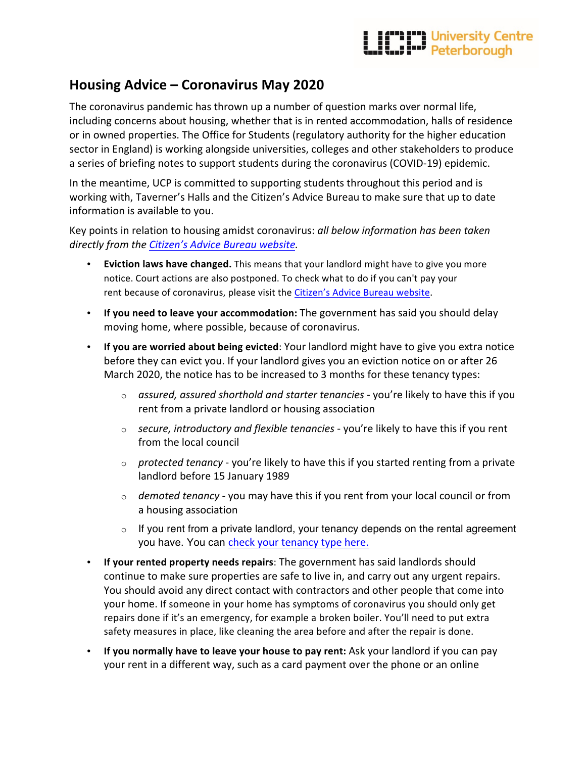## **The Hand University Centre<br>Walk Walker Peterborough**

## **Housing Advice – Coronavirus May 2020**

The coronavirus pandemic has thrown up a number of question marks over normal life, including concerns about housing, whether that is in rented accommodation, halls of residence or in owned properties. The Office for Students (regulatory authority for the higher education sector in England) is working alongside universities, colleges and other stakeholders to produce a series of briefing notes to support students during the coronavirus (COVID-19) epidemic.

In the meantime, UCP is committed to supporting students throughout this period and is working with, Taverner's Halls and the Citizen's Advice Bureau to make sure that up to date information is available to you.

Key points in relation to housing amidst coronavirus: *all below information has been taken directly from the Citizen's Advice Bureau website.*

- **Eviction laws have changed.** This means that your landlord might have to give you more notice. Court actions are also postponed. To check what to do if you can't pay your rent because of coronavirus, please visit the Citizen's Advice Bureau website.
- If you need to leave your accommodation: The government has said you should delay moving home, where possible, because of coronavirus.
- If you are worried about being evicted: Your landlord might have to give you extra notice before they can evict you. If your landlord gives you an eviction notice on or after 26 March 2020, the notice has to be increased to 3 months for these tenancy types:
	- o *assured, assured shorthold and starter tenancies* you're likely to have this if you rent from a private landlord or housing association
	- $\circ$  *secure, introductory and flexible tenancies* you're likely to have this if you rent from the local council
	- $\circ$  *protected tenancy* you're likely to have this if you started renting from a private landlord before 15 January 1989
	- o *demoted tenancy* you may have this if you rent from your local council or from a housing association
	- $\circ$  If you rent from a private landlord, your tenancy depends on the rental agreement you have. You can check your tenancy type here.
- If your rented property needs repairs: The government has said landlords should continue to make sure properties are safe to live in, and carry out any urgent repairs. You should avoid any direct contact with contractors and other people that come into your home. If someone in your home has symptoms of coronavirus you should only get repairs done if it's an emergency, for example a broken boiler. You'll need to put extra safety measures in place, like cleaning the area before and after the repair is done.
- If you normally have to leave your house to pay rent: Ask your landlord if you can pay your rent in a different way, such as a card payment over the phone or an online